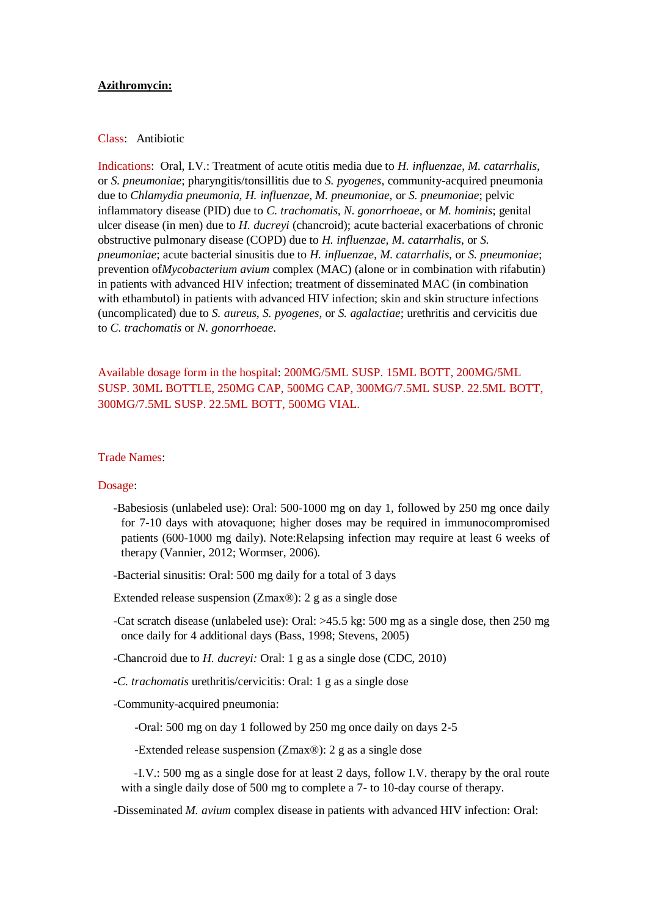## **Azithromycin:**

## Class: Antibiotic

Indications: Oral, I.V.: Treatment of acute otitis media due to *H. influenzae*, *M. catarrhalis*, or *S. pneumoniae*; pharyngitis/tonsillitis due to *S. pyogenes*, community-acquired pneumonia due to *Chlamydia pneumonia, H. influenzae, M. pneumoniae,* or *S. pneumoniae*; pelvic inflammatory disease (PID) due to *C. trachomatis, N. gonorrhoeae,* or *M. hominis*; genital ulcer disease (in men) due to *H. ducreyi* (chancroid); acute bacterial exacerbations of chronic obstructive pulmonary disease (COPD) due to *H. influenzae, M. catarrhalis*, or *S. pneumoniae*; acute bacterial sinusitis due to *H. influenzae, M. catarrhalis,* or *S. pneumoniae*; prevention of*Mycobacterium avium* complex (MAC) (alone or in combination with rifabutin) in patients with advanced HIV infection; treatment of disseminated MAC (in combination with ethambutol) in patients with advanced HIV infection; skin and skin structure infections (uncomplicated) due to *S. aureus, S. pyogenes*, or *S. agalactiae*; urethritis and cervicitis due to *C. trachomatis* or *N. gonorrhoeae*.

Available dosage form in the hospital: 200MG/5ML SUSP. 15ML BOTT, 200MG/5ML SUSP. 30ML BOTTLE, 250MG CAP, 500MG CAP, 300MG/7.5ML SUSP. 22.5ML BOTT, 300MG/7.5ML SUSP. 22.5ML BOTT, 500MG VIAL.

## Trade Names:

## Dosage:

**-**Babesiosis (unlabeled use): Oral: 500-1000 mg on day 1, followed by 250 mg once daily for 7-10 days with atovaquone; higher doses may be required in immunocompromised patients (600-1000 mg daily). Note:Relapsing infection may require at least 6 weeks of therapy (Vannier, 2012; Wormser, 2006).

-Bacterial sinusitis: Oral: 500 mg daily for a total of 3 days

Extended release suspension (Zmax®): 2 g as a single dose

- -Cat scratch disease (unlabeled use): Oral: >45.5 kg: 500 mg as a single dose, then 250 mg once daily for 4 additional days (Bass, 1998; Stevens, 2005)
- -Chancroid due to *H. ducreyi:* Oral: 1 g as a single dose (CDC, 2010)
- *-C. trachomatis* urethritis/cervicitis: Oral: 1 g as a single dose
- -Community-acquired pneumonia:

-Oral: 500 mg on day 1 followed by 250 mg once daily on days 2-5

-Extended release suspension (Zmax®): 2 g as a single dose

 -I.V.: 500 mg as a single dose for at least 2 days, follow I.V. therapy by the oral route with a single daily dose of 500 mg to complete a 7- to 10-day course of therapy.

-Disseminated *M. avium* complex disease in patients with advanced HIV infection: Oral: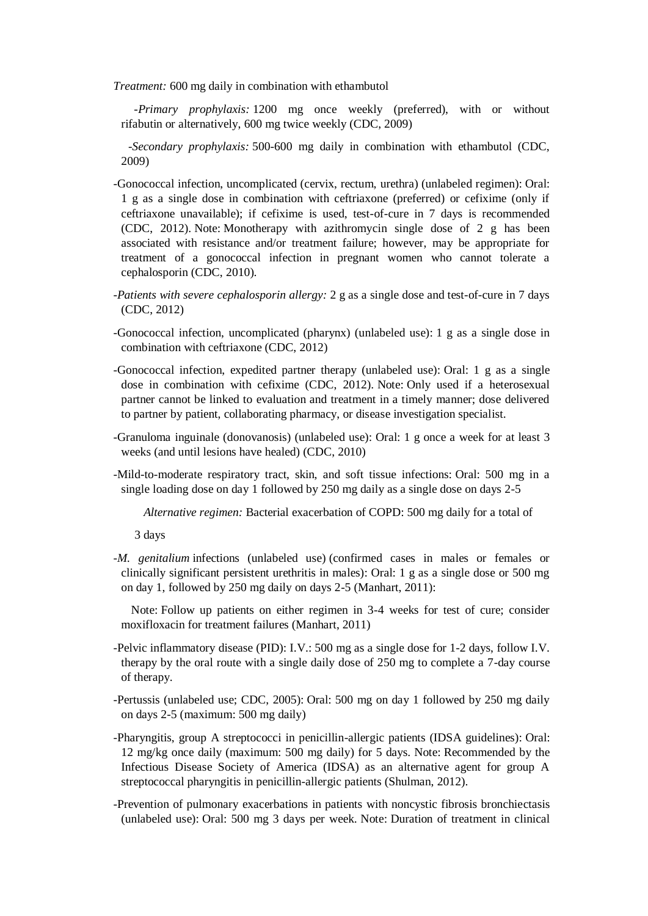*Treatment:* 600 mg daily in combination with ethambutol

 *-Primary prophylaxis:* 1200 mg once weekly (preferred), with or without rifabutin or alternatively, 600 mg twice weekly (CDC, 2009)

 *-Secondary prophylaxis:* 500-600 mg daily in combination with ethambutol (CDC, 2009)

- -Gonococcal infection, uncomplicated (cervix, rectum, urethra) (unlabeled regimen): Oral: 1 g as a single dose in combination with ceftriaxone (preferred) or cefixime (only if ceftriaxone unavailable); if cefixime is used, test-of-cure in 7 days is recommended (CDC, 2012). Note: Monotherapy with azithromycin single dose of 2 g has been associated with resistance and/or treatment failure; however, may be appropriate for treatment of a gonococcal infection in pregnant women who cannot tolerate a cephalosporin (CDC, 2010).
- *-Patients with severe cephalosporin allergy:* 2 g as a single dose and test-of-cure in 7 days (CDC, 2012)
- -Gonococcal infection, uncomplicated (pharynx) (unlabeled use): 1 g as a single dose in combination with ceftriaxone (CDC, 2012)
- -Gonococcal infection, expedited partner therapy (unlabeled use): Oral: 1 g as a single dose in combination with cefixime (CDC, 2012). Note: Only used if a heterosexual partner cannot be linked to evaluation and treatment in a timely manner; dose delivered to partner by patient, collaborating pharmacy, or disease investigation specialist.
- -Granuloma inguinale (donovanosis) (unlabeled use): Oral: 1 g once a week for at least 3 weeks (and until lesions have healed) (CDC, 2010)
- -Mild-to-moderate respiratory tract, skin, and soft tissue infections: Oral: 500 mg in a single loading dose on day 1 followed by 250 mg daily as a single dose on days 2-5

 *Alternative regimen:* Bacterial exacerbation of COPD: 500 mg daily for a total of

3 days

*-M. genitalium* infections (unlabeled use) (confirmed cases in males or females or clinically significant persistent urethritis in males): Oral: 1 g as a single dose or 500 mg on day 1, followed by 250 mg daily on days 2-5 (Manhart, 2011):

 Note: Follow up patients on either regimen in 3-4 weeks for test of cure; consider moxifloxacin for treatment failures (Manhart, 2011)

-Pelvic inflammatory disease (PID): I.V.: 500 mg as a single dose for 1-2 days, follow I.V. therapy by the oral route with a single daily dose of 250 mg to complete a 7-day course of therapy.

-Pertussis (unlabeled use; CDC, 2005): Oral: 500 mg on day 1 followed by 250 mg daily on days 2-5 (maximum: 500 mg daily)

- -Pharyngitis, group A streptococci in penicillin-allergic patients (IDSA guidelines): Oral: 12 mg/kg once daily (maximum: 500 mg daily) for 5 days. Note: Recommended by the Infectious Disease Society of America (IDSA) as an alternative agent for group A streptococcal pharyngitis in penicillin-allergic patients (Shulman, 2012).
- -Prevention of pulmonary exacerbations in patients with noncystic fibrosis bronchiectasis (unlabeled use): Oral: 500 mg 3 days per week. Note: Duration of treatment in clinical